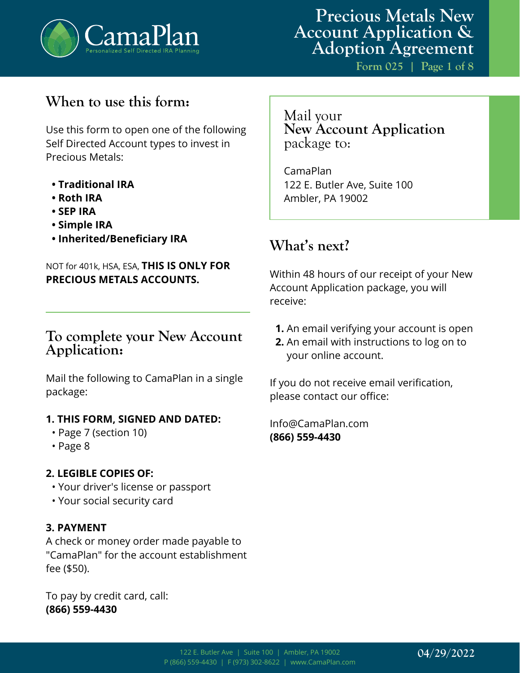

**Form 025 | Page 1 of 8**

## **When to use this form:**

Use this form to open one of the following Self Directed Account types to invest in Precious Metals:

- **Traditional IRA**
- **Roth IRA**
- **SEP IRA**
- **Simple IRA**
- **Inherited/Beneficiary IRA**

## NOT for 401k, HSA, ESA, **THIS IS ONLY FOR PRECIOUS METALS ACCOUNTS.**

## **To complete your New Account Application:**

Mail the following to CamaPlan in a single package:

#### **1. THIS FORM, SIGNED AND DATED:**

- Page 7 (section 10)
- Page 8

### **2. LEGIBLE COPIES OF:**

- Your driver's license or passport
- Your social security card

### **3. PAYMENT**

A check or money order made payable to "CamaPlan" for the account establishment fee (\$50).

To pay by credit card, call: **(866) 559-4430**

Mail your **New Account Application**  package to:

CamaPlan 122 E. Butler Ave, Suite 100 Ambler, PA 19002

## **What's next?**

Within 48 hours of our receipt of your New Account Application package, you will receive:

- **1.** An email verifying your account is open
- **2.** An email with instructions to log on to your online account.

If you do not receive email verification, please contact our office:

Info@CamaPlan.com **(866) 559-4430**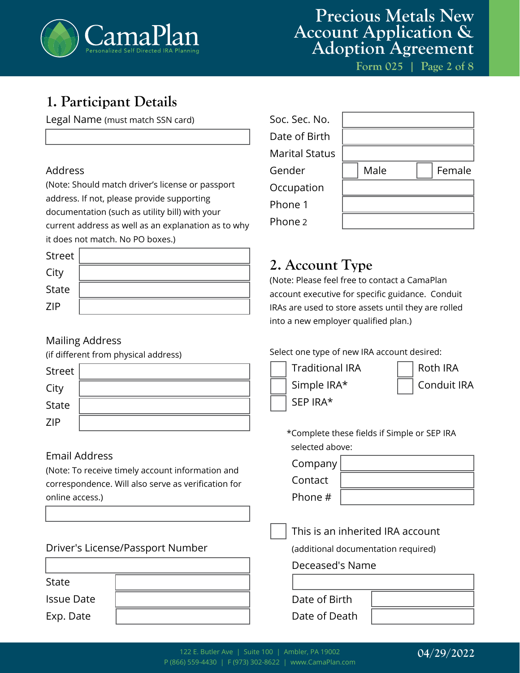

# **Precious Metals New Account Application & Adoption Agreement**

**Form 025 | Page 2 of 8**

## **1. Participant Details**

Legal Name (must match SSN card)

### Address

(Note: Should match driver's license or passport address. If not, please provide supporting documentation (such as utility bill) with your current address as well as an explanation as to why it does not match. No PO boxes.)

| Street       |  |
|--------------|--|
| City         |  |
| <b>State</b> |  |
| <b>ZIP</b>   |  |

## Mailing Address

(if different from physical address)

| Street       |  |
|--------------|--|
| City         |  |
| <b>State</b> |  |
| <b>ZIP</b>   |  |

## Email Address

(Note: To receive timely account information and correspondence. Will also serve as verification for online access.)

| State             |  |
|-------------------|--|
| <b>Issue Date</b> |  |
| Exp. Date         |  |

| Soc. Sec. No.         |      |        |
|-----------------------|------|--------|
| Date of Birth         |      |        |
| <b>Marital Status</b> |      |        |
| Gender                | Male | Female |
| Occupation            |      |        |
| Phone 1               |      |        |
| Phone 2               |      |        |

## **2. Account Type**

(Note: Please feel free to contact a CamaPlan account executive for specific guidance. Conduit IRAs are used to store assets until they are rolled into a new employer qualified plan.)

#### Select one type of new IRA account desired:



\*Complete these fields if Simple or SEP IRA selected above:

Company

Contact Phone #

### This is an inherited IRA account

(additional documentation required)

#### Deceased's Name

| Date of Birth |  |
|---------------|--|
| Date of Death |  |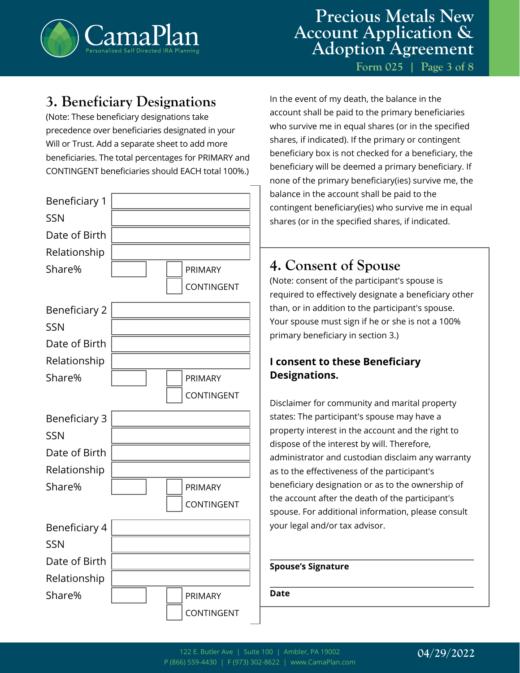

**Form 025 | Page 3 of 8**

## **3. Beneficiary Designations**

(Note: These beneficiary designations take precedence over beneficiaries designated in your Will or Trust. Add a separate sheet to add more beneficiaries. The total percentages for PRIMARY and CONTINGENT beneficiaries should EACH total 100%.)



In the event of my death, the balance in the account shall be paid to the primary beneficiaries who survive me in equal shares (or in the specified shares, if indicated). If the primary or contingent beneficiary box is not checked for a beneficiary, the beneficiary will be deemed a primary beneficiary. If none of the primary beneficiary(ies) survive me, the balance in the account shall be paid to the contingent beneficiary(ies) who survive me in equal shares (or in the specified shares, if indicated.

## **4. Consent of Spouse**

(Note: consent of the participant's spouse is required to effectively designate a beneficiary other than, or in addition to the participant's spouse. Your spouse must sign if he or she is not a 100% primary beneficiary in section 3.)

## **I consent to these Beneficiary Designations.**

Disclaimer for community and marital property states: The participant's spouse may have a property interest in the account and the right to dispose of the interest by will. Therefore, administrator and custodian disclaim any warranty as to the effectiveness of the participant's beneficiary designation or as to the ownership of the account after the death of the participant's spouse. For additional information, please consult your legal and/or tax advisor.

#### **Spouse's Signature**

**Date**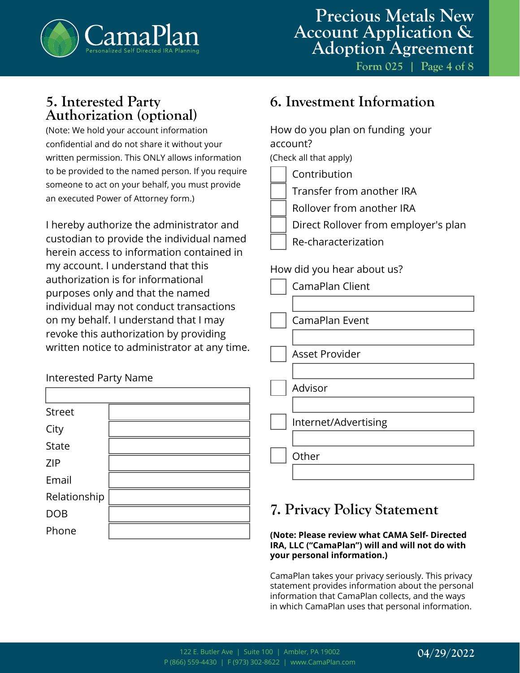

## **5. Interested Party Authorization (optional)**

(Note: We hold your account information confidential and do not share it without your written permission. This ONLY allows information to be provided to the named person. If you require someone to act on your behalf, you must provide an executed Power of Attorney form.)

I hereby authorize the administrator and custodian to provide the individual named herein access to information contained in my account. I understand that this authorization is for informational purposes only and that the named individual may not conduct transactions on my behalf. I understand that I may revoke this authorization by providing written notice to administrator at any time.

## Interested Party Name

| <b>Street</b> |  |
|---------------|--|
| City          |  |
| <b>State</b>  |  |
| <b>ZIP</b>    |  |
| Email         |  |
| Relationship  |  |
| <b>DOB</b>    |  |
| Phone         |  |

## **6. Investment Information**

| How do you plan on funding your<br>account?<br>(Check all that apply)                                                                 |
|---------------------------------------------------------------------------------------------------------------------------------------|
| Contribution<br>Transfer from another IRA<br>Rollover from another IRA<br>Direct Rollover from employer's plan<br>Re-characterization |
| How did you hear about us?<br>CamaPlan Client                                                                                         |
| CamaPlan Event                                                                                                                        |
| Asset Provider                                                                                                                        |
| Advisor                                                                                                                               |
| Internet/Advertising                                                                                                                  |
| Other                                                                                                                                 |

## **7. Privacy Policy Statement**

#### **(Note: Please review what CAMA Self- Directed IRA, LLC ("CamaPlan") will and will not do with your personal information.)**

CamaPlan takes your privacy seriously. This privacy statement provides information about the personal information that CamaPlan collects, and the ways in which CamaPlan uses that personal information.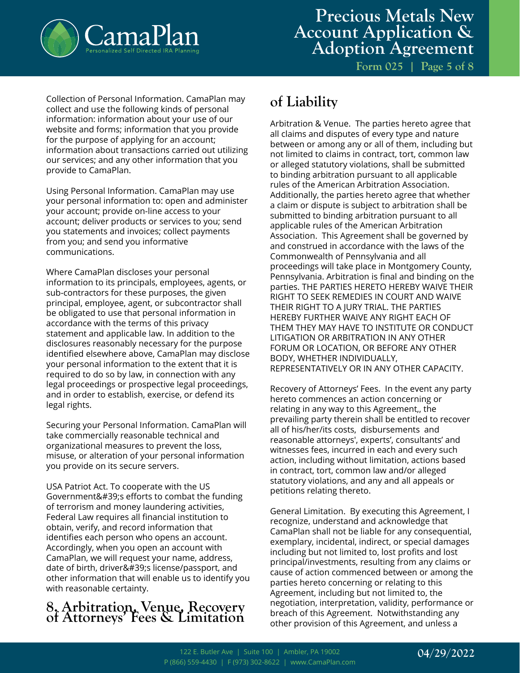

**Form 025 | Page 5 of 8**

Collection of Personal Information. CamaPlan may collect and use the following kinds of personal information: information about your use of our website and forms; information that you provide for the purpose of applying for an account; information about transactions carried out utilizing our services; and any other information that you provide to CamaPlan.

Using Personal Information. CamaPlan may use your personal information to: open and administer your account; provide on-line access to your account; deliver products or services to you; send you statements and invoices; collect payments from you; and send you informative communications.

Where CamaPlan discloses your personal information to its principals, employees, agents, or sub-contractors for these purposes, the given principal, employee, agent, or subcontractor shall be obligated to use that personal information in accordance with the terms of this privacy statement and applicable law. In addition to the disclosures reasonably necessary for the purpose identified elsewhere above, CamaPlan may disclose your personal information to the extent that it is required to do so by law, in connection with any legal proceedings or prospective legal proceedings, and in order to establish, exercise, or defend its legal rights.

Securing your Personal Information. CamaPlan will take commercially reasonable technical and organizational measures to prevent the loss, misuse, or alteration of your personal information you provide on its secure servers.

USA Patriot Act. To cooperate with the US Government's efforts to combat the funding of terrorism and money laundering activities, Federal Law requires all financial institution to obtain, verify, and record information that identifies each person who opens an account. Accordingly, when you open an account with CamaPlan, we will request your name, address, date of birth, driver's license/passport, and other information that will enable us to identify you with reasonable certainty.

# **8. Arbitration, Venue, Recovery of Attorneys' Fees & Limitation**

## **of Liability**

Arbitration & Venue. The parties hereto agree that all claims and disputes of every type and nature between or among any or all of them, including but not limited to claims in contract, tort, common law or alleged statutory violations, shall be submitted to binding arbitration pursuant to all applicable rules of the American Arbitration Association. Additionally, the parties hereto agree that whether a claim or dispute is subject to arbitration shall be submitted to binding arbitration pursuant to all applicable rules of the American Arbitration Association. This Agreement shall be governed by and construed in accordance with the laws of the Commonwealth of Pennsylvania and all proceedings will take place in Montgomery County, Pennsylvania. Arbitration is final and binding on the parties. THE PARTIES HERETO HEREBY WAIVE THEIR RIGHT TO SEEK REMEDIES IN COURT AND WAIVE THEIR RIGHT TO A JURY TRIAL. THE PARTIES HEREBY FURTHER WAIVE ANY RIGHT EACH OF THEM THEY MAY HAVE TO INSTITUTE OR CONDUCT LITIGATION OR ARBITRATION IN ANY OTHER FORUM OR LOCATION, OR BEFORE ANY OTHER BODY, WHETHER INDIVIDUALLY, REPRESENTATIVELY OR IN ANY OTHER CAPACITY.

Recovery of Attorneys' Fees. In the event any party hereto commences an action concerning or relating in any way to this Agreement,, the prevailing party therein shall be entitled to recover all of his/her/its costs, disbursements and reasonable attorneys', experts', consultants' and witnesses fees, incurred in each and every such action, including without limitation, actions based in contract, tort, common law and/or alleged statutory violations, and any and all appeals or petitions relating thereto.

General Limitation. By executing this Agreement, I recognize, understand and acknowledge that CamaPlan shall not be liable for any consequential, exemplary, incidental, indirect, or special damages including but not limited to, lost profits and lost principal/investments, resulting from any claims or cause of action commenced between or among the parties hereto concerning or relating to this Agreement, including but not limited to, the negotiation, interpretation, validity, performance or breach of this Agreement. Notwithstanding any other provision of this Agreement, and unless a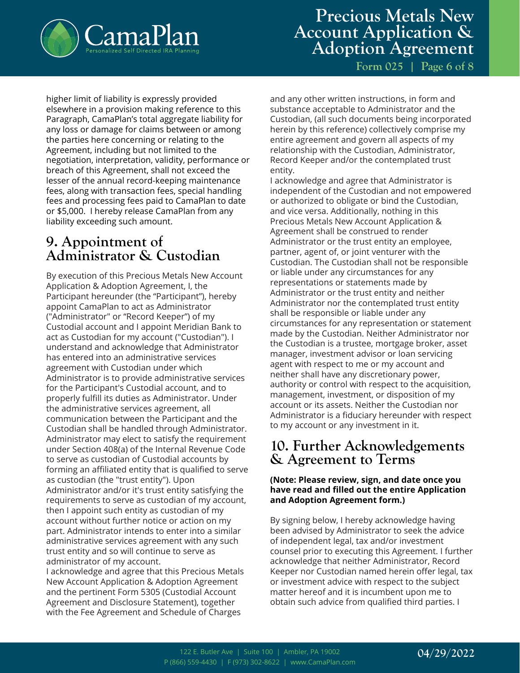

**Form 025 | Page 6 of 8**

higher limit of liability is expressly provided elsewhere in a provision making reference to this Paragraph, CamaPlan's total aggregate liability for any loss or damage for claims between or among the parties here concerning or relating to the Agreement, including but not limited to the negotiation, interpretation, validity, performance or breach of this Agreement, shall not exceed the lesser of the annual record-keeping maintenance fees, along with transaction fees, special handling fees and processing fees paid to CamaPlan to date or \$5,000. I hereby release CamaPlan from any liability exceeding such amount.

## **9. Appointment of Administrator & Custodian**

By execution of this Precious Metals New Account Application & Adoption Agreement, I, the Participant hereunder (the "Participant"), hereby appoint CamaPlan to act as Administrator ("Administrator" or "Record Keeper") of my Custodial account and I appoint Meridian Bank to act as Custodian for my account ("Custodian"). I understand and acknowledge that Administrator has entered into an administrative services agreement with Custodian under which Administrator is to provide administrative services for the Participant's Custodial account, and to properly fulfill its duties as Administrator. Under the administrative services agreement, all communication between the Participant and the Custodian shall be handled through Administrator. Administrator may elect to satisfy the requirement under Section 408(a) of the Internal Revenue Code to serve as custodian of Custodial accounts by forming an affiliated entity that is qualified to serve as custodian (the "trust entity"). Upon Administrator and/or it's trust entity satisfying the requirements to serve as custodian of my account, then I appoint such entity as custodian of my account without further notice or action on my part. Administrator intends to enter into a similar administrative services agreement with any such trust entity and so will continue to serve as administrator of my account.

I acknowledge and agree that this Precious Metals New Account Application & Adoption Agreement and the pertinent Form 5305 (Custodial Account Agreement and Disclosure Statement), together with the Fee Agreement and Schedule of Charges

and any other written instructions, in form and substance acceptable to Administrator and the Custodian, (all such documents being incorporated herein by this reference) collectively comprise my entire agreement and govern all aspects of my relationship with the Custodian, Administrator, Record Keeper and/or the contemplated trust entity.

I acknowledge and agree that Administrator is independent of the Custodian and not empowered or authorized to obligate or bind the Custodian, and vice versa. Additionally, nothing in this Precious Metals New Account Application & Agreement shall be construed to render Administrator or the trust entity an employee, partner, agent of, or joint venturer with the Custodian. The Custodian shall not be responsible or liable under any circumstances for any representations or statements made by Administrator or the trust entity and neither Administrator nor the contemplated trust entity shall be responsible or liable under any circumstances for any representation or statement made by the Custodian. Neither Administrator nor the Custodian is a trustee, mortgage broker, asset manager, investment advisor or loan servicing agent with respect to me or my account and neither shall have any discretionary power, authority or control with respect to the acquisition, management, investment, or disposition of my account or its assets. Neither the Custodian nor Administrator is a fiduciary hereunder with respect to my account or any investment in it.

## **10. Further Acknowledgements & Agreement to Terms**

#### **(Note: Please review, sign, and date once you have read and filled out the entire Application and Adoption Agreement form.)**

By signing below, I hereby acknowledge having been advised by Administrator to seek the advice of independent legal, tax and/or investment counsel prior to executing this Agreement. I further acknowledge that neither Administrator, Record Keeper nor Custodian named herein offer legal, tax or investment advice with respect to the subject matter hereof and it is incumbent upon me to obtain such advice from qualified third parties. I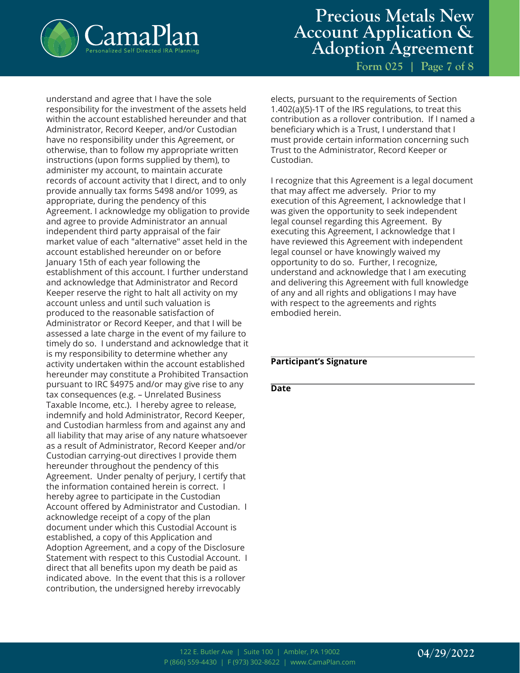

## **Precious Metals New Account Application & Adoption Agreement**

**Form 025 | Page 7 of 8**

understand and agree that I have the sole responsibility for the investment of the assets held within the account established hereunder and that Administrator, Record Keeper, and/or Custodian have no responsibility under this Agreement, or otherwise, than to follow my appropriate written instructions (upon forms supplied by them), to administer my account, to maintain accurate records of account activity that I direct, and to only provide annually tax forms 5498 and/or 1099, as appropriate, during the pendency of this Agreement. I acknowledge my obligation to provide and agree to provide Administrator an annual independent third party appraisal of the fair market value of each "alternative" asset held in the account established hereunder on or before January 15th of each year following the establishment of this account. I further understand and acknowledge that Administrator and Record Keeper reserve the right to halt all activity on my account unless and until such valuation is produced to the reasonable satisfaction of Administrator or Record Keeper, and that I will be assessed a late charge in the event of my failure to timely do so. I understand and acknowledge that it is my responsibility to determine whether any activity undertaken within the account established hereunder may constitute a Prohibited Transaction pursuant to IRC §4975 and/or may give rise to any tax consequences (e.g. – Unrelated Business Taxable Income, etc.). I hereby agree to release, indemnify and hold Administrator, Record Keeper, and Custodian harmless from and against any and all liability that may arise of any nature whatsoever as a result of Administrator, Record Keeper and/or Custodian carrying-out directives I provide them hereunder throughout the pendency of this Agreement. Under penalty of perjury, I certify that the information contained herein is correct. I hereby agree to participate in the Custodian Account offered by Administrator and Custodian. I acknowledge receipt of a copy of the plan document under which this Custodial Account is established, a copy of this Application and Adoption Agreement, and a copy of the Disclosure Statement with respect to this Custodial Account. I direct that all benefits upon my death be paid as indicated above. In the event that this is a rollover contribution, the undersigned hereby irrevocably

elects, pursuant to the requirements of Section 1.402(a)(5)-1T of the IRS regulations, to treat this contribution as a rollover contribution. If I named a beneficiary which is a Trust, I understand that I must provide certain information concerning such Trust to the Administrator, Record Keeper or Custodian.

I recognize that this Agreement is a legal document that may affect me adversely. Prior to my execution of this Agreement, I acknowledge that I was given the opportunity to seek independent legal counsel regarding this Agreement. By executing this Agreement, I acknowledge that I have reviewed this Agreement with independent legal counsel or have knowingly waived my opportunity to do so. Further, I recognize, understand and acknowledge that I am executing and delivering this Agreement with full knowledge of any and all rights and obligations I may have with respect to the agreements and rights embodied herein.

#### **Participant's Signature**

**Date**